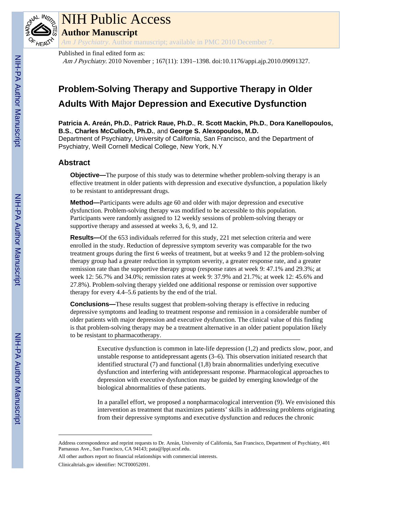

# NIH Public Access

**Author Manuscript**

*Am J Psychiatry*. Author manuscript; available in PMC 2010 December 7.

# Published in final edited form as:

Am J Psychiatry. 2010 November ; 167(11): 1391–1398. doi:10.1176/appi.ajp.2010.09091327.

# **Problem-Solving Therapy and Supportive Therapy in Older Adults With Major Depression and Executive Dysfunction**

**Patricia A. Areán, Ph.D.**, **Patrick Raue, Ph.D.**, **R. Scott Mackin, Ph.D.**, **Dora Kanellopoulos, B.S.**, **Charles McCulloch, Ph.D.**, and **George S. Alexopoulos, M.D.** Department of Psychiatry, University of California, San Francisco, and the Department of Psychiatry, Weill Cornell Medical College, New York, N.Y

# **Abstract**

**Objective—**The purpose of this study was to determine whether problem-solving therapy is an effective treatment in older patients with depression and executive dysfunction, a population likely to be resistant to antidepressant drugs.

**Method—**Participants were adults age 60 and older with major depression and executive dysfunction. Problem-solving therapy was modified to be accessible to this population. Participants were randomly assigned to 12 weekly sessions of problem-solving therapy or supportive therapy and assessed at weeks 3, 6, 9, and 12.

**Results—**Of the 653 individuals referred for this study, 221 met selection criteria and were enrolled in the study. Reduction of depressive symptom severity was comparable for the two treatment groups during the first 6 weeks of treatment, but at weeks 9 and 12 the problem-solving therapy group had a greater reduction in symptom severity, a greater response rate, and a greater remission rate than the supportive therapy group (response rates at week 9: 47.1% and 29.3%; at week 12: 56.7% and 34.0%; remission rates at week 9: 37.9% and 21.7%; at week 12: 45.6% and 27.8%). Problem-solving therapy yielded one additional response or remission over supportive therapy for every 4.4–5.6 patients by the end of the trial.

**Conclusions—**These results suggest that problem-solving therapy is effective in reducing depressive symptoms and leading to treatment response and remission in a considerable number of older patients with major depression and executive dysfunction. The clinical value of this finding is that problem-solving therapy may be a treatment alternative in an older patient population likely to be resistant to pharmacotherapy.

> Executive dysfunction is common in late-life depression (1,2) and predicts slow, poor, and unstable response to antidepressant agents (3–6). This observation initiated research that identified structural (7) and functional (1,8) brain abnormalities underlying executive dysfunction and interfering with antidepressant response. Pharmacological approaches to depression with executive dysfunction may be guided by emerging knowledge of the biological abnormalities of these patients.

> In a parallel effort, we proposed a nonpharmacological intervention (9). We envisioned this intervention as treatment that maximizes patients' skills in addressing problems originating from their depressive symptoms and executive dysfunction and reduces the chronic

All other authors report no financial relationships with commercial interests.

Address correspondence and reprint requests to Dr. Areán, University of California, San Francisco, Department of Psychiatry, 401 Parnassus Ave., San Francisco, CA 94143; pata@lppi.ucsf.edu.

Clinicaltrials.gov identifier: NCT00052091.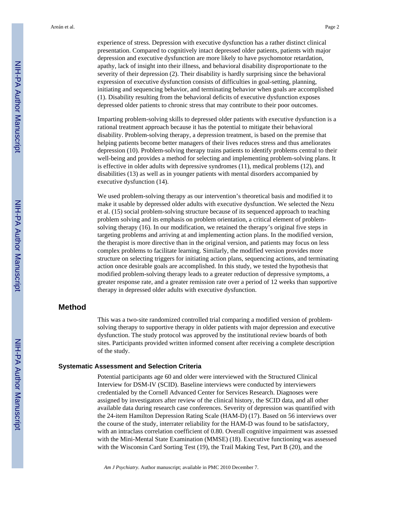experience of stress. Depression with executive dysfunction has a rather distinct clinical presentation. Compared to cognitively intact depressed older patients, patients with major depression and executive dysfunction are more likely to have psychomotor retardation, apathy, lack of insight into their illness, and behavioral disability disproportionate to the severity of their depression (2). Their disability is hardly surprising since the behavioral expression of executive dysfunction consists of difficulties in goal-setting, planning, initiating and sequencing behavior, and terminating behavior when goals are accomplished (1). Disability resulting from the behavioral deficits of executive dysfunction exposes depressed older patients to chronic stress that may contribute to their poor outcomes.

Imparting problem-solving skills to depressed older patients with executive dysfunction is a rational treatment approach because it has the potential to mitigate their behavioral disability. Problem-solving therapy, a depression treatment, is based on the premise that helping patients become better managers of their lives reduces stress and thus ameliorates depression (10). Problem-solving therapy trains patients to identify problems central to their well-being and provides a method for selecting and implementing problem-solving plans. It is effective in older adults with depressive syndromes (11), medical problems (12), and disabilities (13) as well as in younger patients with mental disorders accompanied by executive dysfunction (14).

We used problem-solving therapy as our intervention's theoretical basis and modified it to make it usable by depressed older adults with executive dysfunction. We selected the Nezu et al. (15) social problem-solving structure because of its sequenced approach to teaching problem solving and its emphasis on problem orientation, a critical element of problemsolving therapy (16). In our modification, we retained the therapy's original five steps in targeting problems and arriving at and implementing action plans. In the modified version, the therapist is more directive than in the original version, and patients may focus on less complex problems to facilitate learning. Similarly, the modified version provides more structure on selecting triggers for initiating action plans, sequencing actions, and terminating action once desirable goals are accomplished. In this study, we tested the hypothesis that modified problem-solving therapy leads to a greater reduction of depressive symptoms, a greater response rate, and a greater remission rate over a period of 12 weeks than supportive therapy in depressed older adults with executive dysfunction.

# **Method**

This was a two-site randomized controlled trial comparing a modified version of problemsolving therapy to supportive therapy in older patients with major depression and executive dysfunction. The study protocol was approved by the institutional review boards of both sites. Participants provided written informed consent after receiving a complete description of the study.

### **Systematic Assessment and Selection Criteria**

Potential participants age 60 and older were interviewed with the Structured Clinical Interview for DSM-IV (SCID). Baseline interviews were conducted by interviewers credentialed by the Cornell Advanced Center for Services Research. Diagnoses were assigned by investigators after review of the clinical history, the SCID data, and all other available data during research case conferences. Severity of depression was quantified with the 24-item Hamilton Depression Rating Scale (HAM-D) (17). Based on 56 interviews over the course of the study, interrater reliability for the HAM-D was found to be satisfactory, with an intraclass correlation coefficient of 0.80. Overall cognitive impairment was assessed with the Mini-Mental State Examination (MMSE) (18). Executive functioning was assessed with the Wisconsin Card Sorting Test (19), the Trail Making Test, Part B (20), and the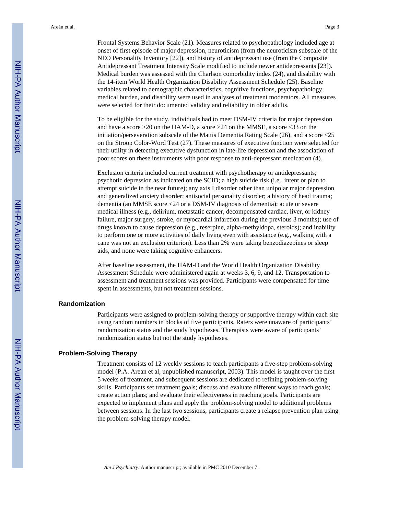Frontal Systems Behavior Scale (21). Measures related to psychopathology included age at onset of first episode of major depression, neuroticism (from the neuroticism subscale of the NEO Personality Inventory [22]), and history of antidepressant use (from the Composite Antidepressant Treatment Intensity Scale modified to include newer antidepressants [23]). Medical burden was assessed with the Charlson comorbidity index (24), and disability with the 14-item World Health Organization Disability Assessment Schedule (25). Baseline variables related to demographic characteristics, cognitive functions, psychopathology, medical burden, and disability were used in analyses of treatment moderators. All measures were selected for their documented validity and reliability in older adults.

To be eligible for the study, individuals had to meet DSM-IV criteria for major depression and have a score >20 on the HAM-D, a score >24 on the MMSE, a score <33 on the initiation/perseveration subscale of the Mattis Dementia Rating Scale (26), and a score <25 on the Stroop Color-Word Test (27). These measures of executive function were selected for their utility in detecting executive dysfunction in late-life depression and the association of poor scores on these instruments with poor response to anti-depressant medication (4).

Exclusion criteria included current treatment with psychotherapy or antidepressants; psychotic depression as indicated on the SCID; a high suicide risk (i.e., intent or plan to attempt suicide in the near future); any axis I disorder other than unipolar major depression and generalized anxiety disorder; antisocial personality disorder; a history of head trauma; dementia (an MMSE score <24 or a DSM-IV diagnosis of dementia); acute or severe medical illness (e.g., delirium, metastatic cancer, decompensated cardiac, liver, or kidney failure, major surgery, stroke, or myocardial infarction during the previous 3 months); use of drugs known to cause depression (e.g., reserpine, alpha-methyldopa, steroids); and inability to perform one or more activities of daily living even with assistance (e.g., walking with a cane was not an exclusion criterion). Less than 2% were taking benzodiazepines or sleep aids, and none were taking cognitive enhancers.

After baseline assessment, the HAM-D and the World Health Organization Disability Assessment Schedule were administered again at weeks 3, 6, 9, and 12. Transportation to assessment and treatment sessions was provided. Participants were compensated for time spent in assessments, but not treatment sessions.

#### **Randomization**

Participants were assigned to problem-solving therapy or supportive therapy within each site using random numbers in blocks of five participants. Raters were unaware of participants' randomization status and the study hypotheses. Therapists were aware of participants' randomization status but not the study hypotheses.

#### **Problem-Solving Therapy**

Treatment consists of 12 weekly sessions to teach participants a five-step problem-solving model (P.A. Arean et al, unpublished manuscript, 2003). This model is taught over the first 5 weeks of treatment, and subsequent sessions are dedicated to refining problem-solving skills. Participants set treatment goals; discuss and evaluate different ways to reach goals; create action plans; and evaluate their effectiveness in reaching goals. Participants are expected to implement plans and apply the problem-solving model to additional problems between sessions. In the last two sessions, participants create a relapse prevention plan using the problem-solving therapy model.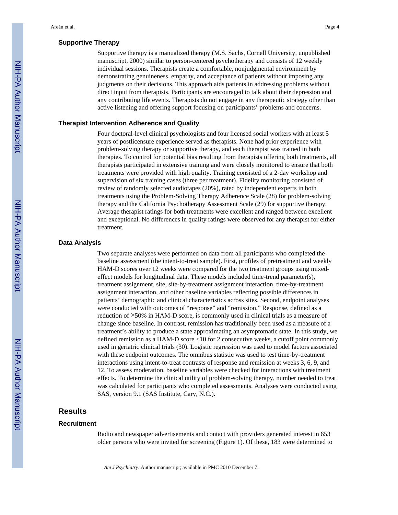# **Supportive Therapy**

Supportive therapy is a manualized therapy (M.S. Sachs, Cornell University, unpublished manuscript, 2000) similar to person-centered psychotherapy and consists of 12 weekly individual sessions. Therapists create a comfortable, nonjudgmental environment by demonstrating genuineness, empathy, and acceptance of patients without imposing any judgments on their decisions. This approach aids patients in addressing problems without direct input from therapists. Participants are encouraged to talk about their depression and any contributing life events. Therapists do not engage in any therapeutic strategy other than active listening and offering support focusing on participants' problems and concerns.

#### **Therapist Intervention Adherence and Quality**

Four doctoral-level clinical psychologists and four licensed social workers with at least 5 years of postlicensure experience served as therapists. None had prior experience with problem-solving therapy or supportive therapy, and each therapist was trained in both therapies. To control for potential bias resulting from therapists offering both treatments, all therapists participated in extensive training and were closely monitored to ensure that both treatments were provided with high quality. Training consisted of a 2-day workshop and supervision of six training cases (three per treatment). Fidelity monitoring consisted of review of randomly selected audiotapes (20%), rated by independent experts in both treatments using the Problem-Solving Therapy Adherence Scale (28) for problem-solving therapy and the California Psychotherapy Assessment Scale (29) for supportive therapy. Average therapist ratings for both treatments were excellent and ranged between excellent and exceptional. No differences in quality ratings were observed for any therapist for either treatment.

## **Data Analysis**

Two separate analyses were performed on data from all participants who completed the baseline assessment (the intent-to-treat sample). First, profiles of pretreatment and weekly HAM-D scores over 12 weeks were compared for the two treatment groups using mixedeffect models for longitudinal data. These models included time-trend parameter(s), treatment assignment, site, site-by-treatment assignment interaction, time-by-treatment assignment interaction, and other baseline variables reflecting possible differences in patients' demographic and clinical characteristics across sites. Second, endpoint analyses were conducted with outcomes of "response" and "remission." Response, defined as a reduction of ≥50% in HAM-D score, is commonly used in clinical trials as a measure of change since baseline. In contrast, remission has traditionally been used as a measure of a treatment's ability to produce a state approximating an asymptomatic state. In this study, we defined remission as a HAM-D score <10 for 2 consecutive weeks, a cutoff point commonly used in geriatric clinical trials (30). Logistic regression was used to model factors associated with these endpoint outcomes. The omnibus statistic was used to test time-by-treatment interactions using intent-to-treat contrasts of response and remission at weeks 3, 6, 9, and 12. To assess moderation, baseline variables were checked for interactions with treatment effects. To determine the clinical utility of problem-solving therapy, number needed to treat was calculated for participants who completed assessments. Analyses were conducted using SAS, version 9.1 (SAS Institute, Cary, N.C.).

# **Results**

#### **Recruitment**

Radio and newspaper advertisements and contact with providers generated interest in 653 older persons who were invited for screening (Figure 1). Of these, 183 were determined to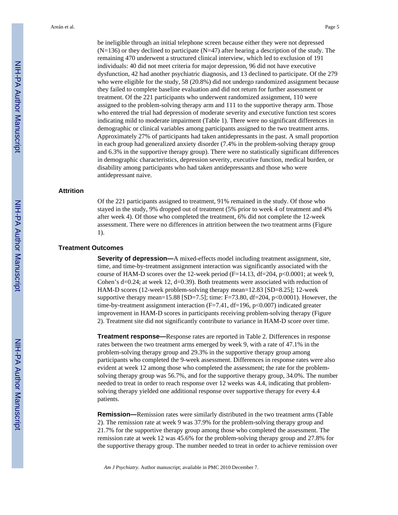be ineligible through an initial telephone screen because either they were not depressed (N=136) or they declined to participate (N=47) after hearing a description of the study. The remaining 470 underwent a structured clinical interview, which led to exclusion of 191 individuals: 40 did not meet criteria for major depression, 96 did not have executive dysfunction, 42 had another psychiatric diagnosis, and 13 declined to participate. Of the 279 who were eligible for the study, 58 (20.8%) did not undergo randomized assignment because they failed to complete baseline evaluation and did not return for further assessment or treatment. Of the 221 participants who underwent randomized assignment, 110 were assigned to the problem-solving therapy arm and 111 to the supportive therapy arm. Those who entered the trial had depression of moderate severity and executive function test scores indicating mild to moderate impairment (Table 1). There were no significant differences in demographic or clinical variables among participants assigned to the two treatment arms. Approximately 27% of participants had taken antidepressants in the past. A small proportion in each group had generalized anxiety disorder (7.4% in the problem-solving therapy group and 6.3% in the supportive therapy group). There were no statistically significant differences in demographic characteristics, depression severity, executive function, medical burden, or disability among participants who had taken antidepressants and those who were antidepressant naive.

#### **Attrition**

Of the 221 participants assigned to treatment, 91% remained in the study. Of those who stayed in the study, 9% dropped out of treatment (5% prior to week 4 of treatment and 4% after week 4). Of those who completed the treatment, 6% did not complete the 12-week assessment. There were no differences in attrition between the two treatment arms (Figure 1).

# **Treatment Outcomes**

**Severity of depression—**A mixed-effects model including treatment assignment, site, time, and time-by-treatment assignment interaction was significantly associated with the course of HAM-D scores over the 12-week period  $(F=14.13, df=204, p<0.0001$ ; at week 9, Cohen's d=0.24; at week 12, d=0.39). Both treatments were associated with reduction of HAM-D scores (12-week problem-solving therapy mean=12.83 [SD=8.25]; 12-week supportive therapy mean=15.88 [SD=7.5]; time: F=73.80, df=204, p<0.0001). However, the time-by-treatment assignment interaction  $(F=7.41, df=196, p<0.007)$  indicated greater improvement in HAM-D scores in participants receiving problem-solving therapy (Figure 2). Treatment site did not significantly contribute to variance in HAM-D score over time.

**Treatment response—**Response rates are reported in Table 2. Differences in response rates between the two treatment arms emerged by week 9, with a rate of 47.1% in the problem-solving therapy group and 29.3% in the supportive therapy group among participants who completed the 9-week assessment. Differences in response rates were also evident at week 12 among those who completed the assessment; the rate for the problemsolving therapy group was 56.7%, and for the supportive therapy group, 34.0%. The number needed to treat in order to reach response over 12 weeks was 4.4, indicating that problemsolving therapy yielded one additional response over supportive therapy for every 4.4 patients.

**Remission—**Remission rates were similarly distributed in the two treatment arms (Table 2). The remission rate at week 9 was 37.9% for the problem-solving therapy group and 21.7% for the supportive therapy group among those who completed the assessment. The remission rate at week 12 was 45.6% for the problem-solving therapy group and 27.8% for the supportive therapy group. The number needed to treat in order to achieve remission over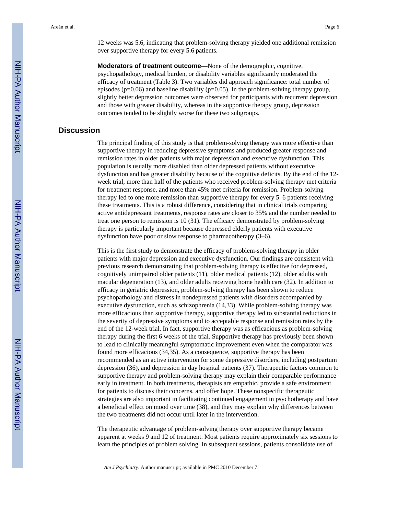12 weeks was 5.6, indicating that problem-solving therapy yielded one additional remission over supportive therapy for every 5.6 patients.

**Moderators of treatment outcome—**None of the demographic, cognitive, psychopathology, medical burden, or disability variables significantly moderated the efficacy of treatment (Table 3). Two variables did approach significance: total number of episodes ( $p=0.06$ ) and baseline disability ( $p=0.05$ ). In the problem-solving therapy group, slightly better depression outcomes were observed for participants with recurrent depression and those with greater disability, whereas in the supportive therapy group, depression outcomes tended to be slightly worse for these two subgroups.

# **Discussion**

The principal finding of this study is that problem-solving therapy was more effective than supportive therapy in reducing depressive symptoms and produced greater response and remission rates in older patients with major depression and executive dysfunction. This population is usually more disabled than older depressed patients without executive dysfunction and has greater disability because of the cognitive deficits. By the end of the 12 week trial, more than half of the patients who received problem-solving therapy met criteria for treatment response, and more than 45% met criteria for remission. Problem-solving therapy led to one more remission than supportive therapy for every 5–6 patients receiving these treatments. This is a robust difference, considering that in clinical trials comparing active antidepressant treatments, response rates are closer to 35% and the number needed to treat one person to remission is 10 (31). The efficacy demonstrated by problem-solving therapy is particularly important because depressed elderly patients with executive dysfunction have poor or slow response to pharmacotherapy (3–6).

This is the first study to demonstrate the efficacy of problem-solving therapy in older patients with major depression and executive dysfunction. Our findings are consistent with previous research demonstrating that problem-solving therapy is effective for depressed, cognitively unimpaired older patients (11), older medical patients (12), older adults with macular degeneration (13), and older adults receiving home health care (32). In addition to efficacy in geriatric depression, problem-solving therapy has been shown to reduce psychopathology and distress in nondepressed patients with disorders accompanied by executive dysfunction, such as schizophrenia (14,33). While problem-solving therapy was more efficacious than supportive therapy, supportive therapy led to substantial reductions in the severity of depressive symptoms and to acceptable response and remission rates by the end of the 12-week trial. In fact, supportive therapy was as efficacious as problem-solving therapy during the first 6 weeks of the trial. Supportive therapy has previously been shown to lead to clinically meaningful symptomatic improvement even when the comparator was found more efficacious (34,35). As a consequence, supportive therapy has been recommended as an active intervention for some depressive disorders, including postpartum depression (36), and depression in day hospital patients (37). Therapeutic factors common to supportive therapy and problem-solving therapy may explain their comparable performance early in treatment. In both treatments, therapists are empathic, provide a safe environment for patients to discuss their concerns, and offer hope. These nonspecific therapeutic strategies are also important in facilitating continued engagement in psychotherapy and have a beneficial effect on mood over time (38), and they may explain why differences between the two treatments did not occur until later in the intervention.

The therapeutic advantage of problem-solving therapy over supportive therapy became apparent at weeks 9 and 12 of treatment. Most patients require approximately six sessions to learn the principles of problem solving. In subsequent sessions, patients consolidate use of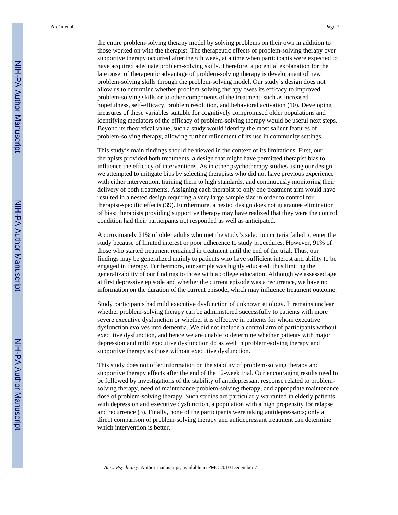the entire problem-solving therapy model by solving problems on their own in addition to those worked on with the therapist. The therapeutic effects of problem-solving therapy over supportive therapy occurred after the 6th week, at a time when participants were expected to have acquired adequate problem-solving skills. Therefore, a potential explanation for the late onset of therapeutic advantage of problem-solving therapy is development of new problem-solving skills through the problem-solving model. Our study's design does not allow us to determine whether problem-solving therapy owes its efficacy to improved problem-solving skills or to other components of the treatment, such as increased hopefulness, self-efficacy, problem resolution, and behavioral activation (10). Developing measures of these variables suitable for cognitively compromised older populations and identifying mediators of the efficacy of problem-solving therapy would be useful next steps. Beyond its theoretical value, such a study would identify the most salient features of problem-solving therapy, allowing further refinement of its use in community settings.

This study's main findings should be viewed in the context of its limitations. First, our therapists provided both treatments, a design that might have permitted therapist bias to influence the efficacy of interventions. As in other psychotherapy studies using our design, we attempted to mitigate bias by selecting therapists who did not have previous experience with either intervention, training them to high standards, and continuously monitoring their delivery of both treatments. Assigning each therapist to only one treatment arm would have resulted in a nested design requiring a very large sample size in order to control for therapist-specific effects (39). Furthermore, a nested design does not guarantee elimination of bias; therapists providing supportive therapy may have realized that they were the control condition had their participants not responded as well as anticipated.

Approximately 21% of older adults who met the study's selection criteria failed to enter the study because of limited interest or poor adherence to study procedures. However, 91% of those who started treatment remained in treatment until the end of the trial. Thus, our findings may be generalized mainly to patients who have sufficient interest and ability to be engaged in therapy. Furthermore, our sample was highly educated, thus limiting the generalizability of our findings to those with a college education. Although we assessed age at first depressive episode and whether the current episode was a recurrence, we have no information on the duration of the current episode, which may influence treatment outcome.

Study participants had mild executive dysfunction of unknown etiology. It remains unclear whether problem-solving therapy can be administered successfully to patients with more severe executive dysfunction or whether it is effective in patients for whom executive dysfunction evolves into dementia. We did not include a control arm of participants without executive dysfunction, and hence we are unable to determine whether patients with major depression and mild executive dysfunction do as well in problem-solving therapy and supportive therapy as those without executive dysfunction.

This study does not offer information on the stability of problem-solving therapy and supportive therapy effects after the end of the 12-week trial. Our encouraging results need to be followed by investigations of the stability of antidepressant response related to problemsolving therapy, need of maintenance problem-solving therapy, and appropriate maintenance dose of problem-solving therapy. Such studies are particularly warranted in elderly patients with depression and executive dysfunction, a population with a high propensity for relapse and recurrence (3). Finally, none of the participants were taking antidepressants; only a direct comparison of problem-solving therapy and antidepressant treatment can determine which intervention is better.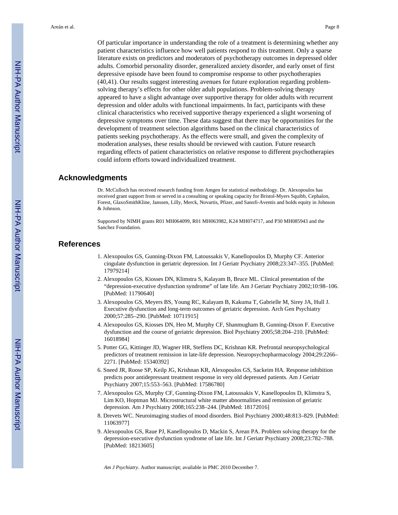Of particular importance in understanding the role of a treatment is determining whether any patient characteristics influence how well patients respond to this treatment. Only a sparse literature exists on predictors and moderators of psychotherapy outcomes in depressed older adults. Comorbid personality disorder, generalized anxiety disorder, and early onset of first depressive episode have been found to compromise response to other psychotherapies (40,41). Our results suggest interesting avenues for future exploration regarding problemsolving therapy's effects for other older adult populations. Problem-solving therapy appeared to have a slight advantage over supportive therapy for older adults with recurrent depression and older adults with functional impairments. In fact, participants with these clinical characteristics who received supportive therapy experienced a slight worsening of depressive symptoms over time. These data suggest that there may be opportunities for the development of treatment selection algorithms based on the clinical characteristics of patients seeking psychotherapy. As the effects were small, and given the complexity of moderation analyses, these results should be reviewed with caution. Future research regarding effects of patient characteristics on relative response to different psychotherapies could inform efforts toward individualized treatment.

# **Acknowledgments**

Dr. McCulloch has received research funding from Amgen for statistical methodology. Dr. Alexopoulos has received grant support from or served in a consulting or speaking capacity for Bristol-Myers Squibb, Cephalon, Forest, GlaxoSmithKline, Janssen, Lilly, Merck, Novartis, Pfizer, and Sanofi-Aventis and holds equity in Johnson & Johnson.

Supported by NIMH grants R01 MH064099, R01 MH063982, K24 MH074717, and P30 MH085943 and the Sanchez Foundation.

# **References**

- 1. Alexopoulos GS, Gunning-Dixon FM, Latoussakis V, Kanellopoulos D, Murphy CF. Anterior cingulate dysfunction in geriatric depression. Int J Geriatr Psychiatry 2008;23:347–355. [PubMed: 17979214]
- 2. Alexopoulos GS, Kiosses DN, Klimstra S, Kalayam B, Bruce ML. Clinical presentation of the "depression-executive dysfunction syndrome" of late life. Am J Geriatr Psychiatry 2002;10:98–106. [PubMed: 11790640]
- 3. Alexopoulos GS, Meyers BS, Young RC, Kalayam B, Kakuma T, Gabrielle M, Sirey JA, Hull J. Executive dysfunction and long-term outcomes of geriatric depression. Arch Gen Psychiatry 2000;57:285–290. [PubMed: 10711915]
- 4. Alexopoulos GS, Kiosses DN, Heo M, Murphy CF, Shanmugham B, Gunning-Dixon F. Executive dysfunction and the course of geriatric depression. Biol Psychiatry 2005;58:204–210. [PubMed: 16018984]
- 5. Potter GG, Kittinger JD, Wagner HR, Steffens DC, Krishnan KR. Prefrontal neuropsychological predictors of treatment remission in late-life depression. Neuropsychopharmacology 2004;29:2266– 2271. [PubMed: 15340392]
- 6. Sneed JR, Roose SP, Keilp JG, Krishnan KR, Alexopoulos GS, Sackeim HA. Response inhibition predicts poor antidepressant treatment response in very old depressed patients. Am J Geriatr Psychiatry 2007;15:553–563. [PubMed: 17586780]
- 7. Alexopoulos GS, Murphy CF, Gunning-Dixon FM, Latoussakis V, Kanellopoulos D, Klimstra S, Lim KO, Hoptman MJ. Microstructural white matter abnormalities and remission of geriatric depression. Am J Psychiatry 2008;165:238–244. [PubMed: 18172016]
- 8. Drevets WC. Neuroimaging studies of mood disorders. Biol Psychiatry 2000;48:813–829. [PubMed: 11063977]
- 9. Alexopoulos GS, Raue PJ, Kanellopoulos D, Mackin S, Arean PA. Problem solving therapy for the depression-executive dysfunction syndrome of late life. Int J Geriatr Psychiatry 2008;23:782–788. [PubMed: 18213605]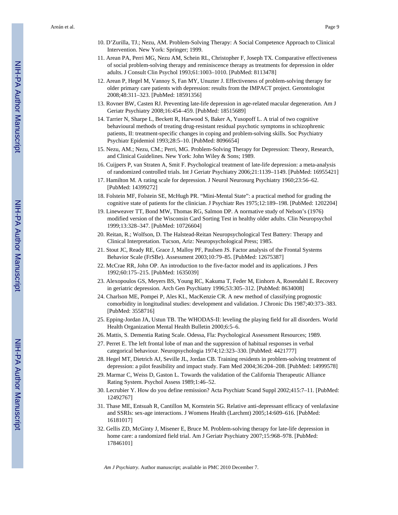- 10. D'Zurilla, TJ.; Nezu, AM. Problem-Solving Therapy: A Social Competence Approach to Clinical Intervention. New York: Springer; 1999.
- 11. Arean PA, Perri MG, Nezu AM, Schein RL, Christopher F, Joseph TX. Comparative effectiveness of social problem-solving therapy and reminiscence therapy as treatments for depression in older adults. J Consult Clin Psychol 1993;61:1003–1010. [PubMed: 8113478]
- 12. Arean P, Hegel M, Vannoy S, Fan MY, Unuzter J. Effectiveness of problem-solving therapy for older primary care patients with depression: results from the IMPACT project. Gerontologist 2008;48:311–323. [PubMed: 18591356]
- 13. Rovner BW, Casten RJ. Preventing late-life depression in age-related macular degeneration. Am J Geriatr Psychiatry 2008;16:454–459. [PubMed: 18515689]
- 14. Tarrier N, Sharpe L, Beckett R, Harwood S, Baker A, Yusopoff L. A trial of two cognitive behavioural methods of treating drug-resistant residual psychotic symptoms in schizophrenic patients, II: treatment-specific changes in coping and problem-solving skills. Soc Psychiatry Psychiatr Epidemiol 1993;28:5–10. [PubMed: 8096654]
- 15. Nezu, AM.; Nezu, CM.; Perri, MG. Problem-Solving Therapy for Depression: Theory, Research, and Clinical Guidelines. New York: John Wiley & Sons; 1989.
- 16. Cuijpers P, van Straten A, Smit F. Psychological treatment of late-life depression: a meta-analysis of randomized controlled trials. Int J Geriatr Psychiatry 2006;21:1139–1149. [PubMed: 16955421]
- 17. Hamilton M. A rating scale for depression. J Neurol Neurosurg Psychiatry 1960;23:56–62. [PubMed: 14399272]
- 18. Folstein MF, Folstein SE, McHugh PR. "Mini-Mental State": a practical method for grading the cognitive state of patients for the clinician. J Psychiatr Res 1975;12:189–198. [PubMed: 1202204]
- 19. Lineweaver TT, Bond MW, Thomas RG, Salmon DP. A normative study of Nelson's (1976) modified version of the Wisconsin Card Sorting Test in healthy older adults. Clin Neuropsychol 1999;13:328–347. [PubMed: 10726604]
- 20. Reitan, R.; Wolfson, D. The Halstead-Reitan Neuropsychological Test Battery: Therapy and Clinical Interpretation. Tucson, Ariz: Neuropsychological Press; 1985.
- 21. Stout JC, Ready RE, Grace J, Malloy PF, Paulsen JS. Factor analysis of the Frontal Systems Behavior Scale (FrSBe). Assessment 2003;10:79–85. [PubMed: 12675387]
- 22. McCrae RR, John OP. An introduction to the five-factor model and its applications. J Pers 1992;60:175–215. [PubMed: 1635039]
- 23. Alexopoulos GS, Meyers BS, Young RC, Kakuma T, Feder M, Einhorn A, Rosendahl E. Recovery in geriatric depression. Arch Gen Psychiatry 1996;53:305–312. [PubMed: 8634008]
- 24. Charlson ME, Pompei P, Ales KL, MacKenzie CR. A new method of classifying prognostic comorbidity in longitudinal studies: development and validation. J Chronic Dis 1987;40:373–383. [PubMed: 3558716]
- 25. Epping-Jordan JA, Ustun TB. The WHODAS-II: leveling the playing field for all disorders. World Health Organization Mental Health Bulletin 2000;6:5–6.
- 26. Mattis, S. Dementia Rating Scale. Odessa, Fla: Psychological Assessment Resources; 1989.
- 27. Perret E. The left frontal lobe of man and the suppression of habitual responses in verbal categorical behaviour. Neuropsychologia 1974;12:323–330. [PubMed: 4421777]
- 28. Hegel MT, Dietrich AJ, Seville JL, Jordan CB. Training residents in problem-solving treatment of depression: a pilot feasibility and impact study. Fam Med 2004;36:204–208. [PubMed: 14999578]
- 29. Marmar C, Weiss D, Gaston L. Towards the validation of the California Therapeutic Alliance Rating System. Psychol Assess 1989;1:46–52.
- 30. Lecrubier Y. How do you define remission? Acta Psychiatr Scand Suppl 2002;415:7–11. [PubMed: 12492767]
- 31. Thase ME, Entsuah R, Cantillon M, Kornstein SG. Relative anti-depressant efficacy of venlafaxine and SSRIs: sex-age interactions. J Womens Health (Larchmt) 2005;14:609–616. [PubMed: 16181017]
- 32. Gellis ZD, McGinty J, Misener E, Bruce M. Problem-solving therapy for late-life depression in home care: a randomized field trial. Am J Geriatr Psychiatry 2007;15:968–978. [PubMed: 17846101]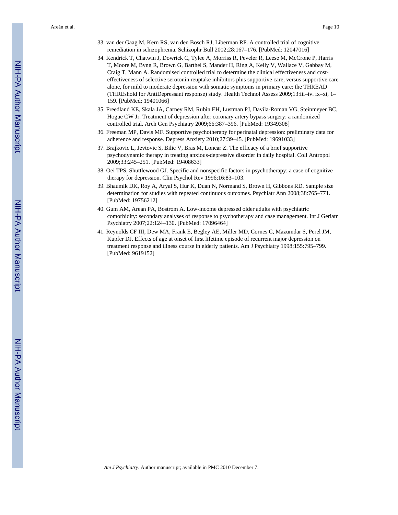- 33. van der Gaag M, Kern RS, van den Bosch RJ, Liberman RP. A controlled trial of cognitive remediation in schizophrenia. Schizophr Bull 2002;28:167–176. [PubMed: 12047016]
- 34. Kendrick T, Chatwin J, Dowrick C, Tylee A, Morriss R, Peveler R, Leese M, McCrone P, Harris T, Moore M, Byng R, Brown G, Barthel S, Mander H, Ring A, Kelly V, Wallace V, Gabbay M, Craig T, Mann A. Randomised controlled trial to determine the clinical effectiveness and costeffectiveness of selective serotonin reuptake inhibitors plus supportive care, versus supportive care alone, for mild to moderate depression with somatic symptoms in primary care: the THREAD (THREshold for AntiDepressant response) study. Health Technol Assess 2009;13:iii–iv. ix–xi, 1– 159. [PubMed: 19401066]
- 35. Freedland KE, Skala JA, Carney RM, Rubin EH, Lustman PJ, Davila-Roman VG, Steinmeyer BC, Hogue CW Jr. Treatment of depression after coronary artery bypass surgery: a randomized controlled trial. Arch Gen Psychiatry 2009;66:387–396. [PubMed: 19349308]
- 36. Freeman MP, Davis MF. Supportive psychotherapy for perinatal depression: preliminary data for adherence and response. Depress Anxiety 2010;27:39–45. [PubMed: 19691033]
- 37. Brajkovic L, Jevtovic S, Bilic V, Bras M, Loncar Z. The efficacy of a brief supportive psychodynamic therapy in treating anxious-depressive disorder in daily hospital. Coll Antropol 2009;33:245–251. [PubMed: 19408633]
- 38. Oei TPS, Shuttlewood GJ. Specific and nonspecific factors in psychotherapy: a case of cognitive therapy for depression. Clin Psychol Rev 1996;16:83–103.
- 39. Bhaumik DK, Roy A, Aryal S, Hur K, Duan N, Normand S, Brown H, Gibbons RD. Sample size determination for studies with repeated continuous outcomes. Psychiatr Ann 2008;38:765–771. [PubMed: 19756212]
- 40. Gum AM, Arean PA, Bostrom A. Low-income depressed older adults with psychiatric comorbidity: secondary analyses of response to psychotherapy and case management. Int J Geriatr Psychiatry 2007;22:124–130. [PubMed: 17096464]
- 41. Reynolds CF III, Dew MA, Frank E, Begley AE, Miller MD, Cornes C, Mazumdar S, Perel JM, Kupfer DJ. Effects of age at onset of first lifetime episode of recurrent major depression on treatment response and illness course in elderly patients. Am J Psychiatry 1998;155:795–799. [PubMed: 9619152]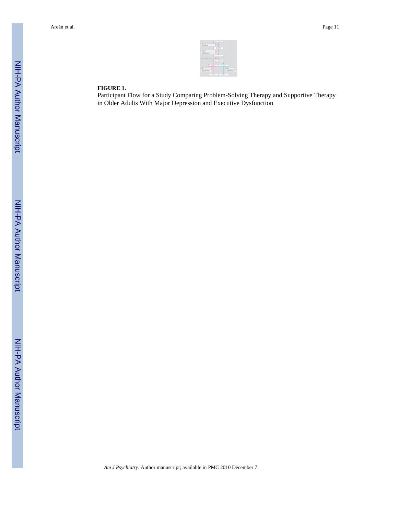| painter in one<br><b>Service Co.</b>                                                                                                                        | Markets Dall's N.W.                                                                                                        |
|-------------------------------------------------------------------------------------------------------------------------------------------------------------|----------------------------------------------------------------------------------------------------------------------------|
| the department in the                                                                                                                                       | <b>Racing Scott</b><br><b>CONTRACTOR</b>                                                                                   |
| <b>DOM NOW</b><br><b>England De St.</b><br><b>M-harison for any</b><br><b><i>DRAFTAM GENEVIS DISTURBANCE</i></b><br>Exhibition Sales \$ 40.                 |                                                                                                                            |
| habita binable faultist paradote for the                                                                                                                    | <b>Fallent Children</b>                                                                                                    |
|                                                                                                                                                             | Tel: 4 keye Ave                                                                                                            |
|                                                                                                                                                             | <b>Showed a Suite Color</b><br>discussion income<br><b>Barnett &amp; COR</b><br><b>Scott of the American</b>               |
| <b>WARNT</b><br>Department to OK<br><b>Fig. b and out texting furth</b><br>the work of the process to the<br>tunded colorador in the<br><b>Tiberal R</b> No | 49.044<br><b>Report on Walk</b><br>Service Monters N.S.<br>distant informed \$100<br>bandad industrial up to<br>Share form |
|                                                                                                                                                             | <b>National Account</b><br><b>If the Automation</b>                                                                        |

#### **FIGURE 1.**

Participant Flow for a Study Comparing Problem-Solving Therapy and Supportive Therapy in Older Adults With Major Depression and Executive Dysfunction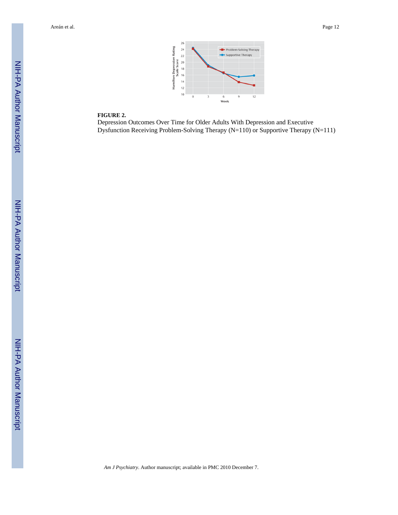

# **FIGURE 2.**

Depression Outcomes Over Time for Older Adults With Depression and Executive Dysfunction Receiving Problem-Solving Therapy (N=110) or Supportive Therapy (N=111)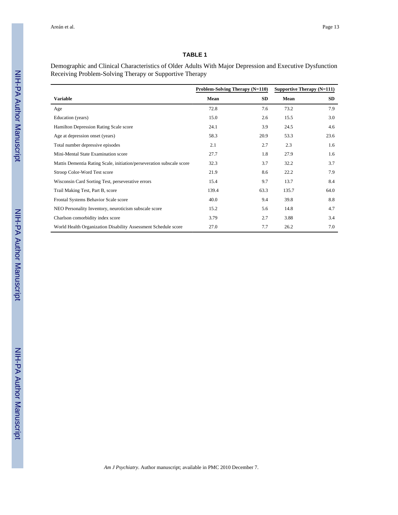## **TABLE 1**

Demographic and Clinical Characteristics of Older Adults With Major Depression and Executive Dysfunction Receiving Problem-Solving Therapy or Supportive Therapy

|                                                                       | Problem-Solving Therapy (N=110) |           |       | Supportive Therapy $(N=111)$ |
|-----------------------------------------------------------------------|---------------------------------|-----------|-------|------------------------------|
| <b>Variable</b>                                                       | Mean                            | <b>SD</b> | Mean  | <b>SD</b>                    |
| Age                                                                   | 72.8                            | 7.6       | 73.2  | 7.9                          |
| Education (years)                                                     | 15.0                            | 2.6       | 15.5  | 3.0                          |
| Hamilton Depression Rating Scale score                                | 24.1                            | 3.9       | 24.5  | 4.6                          |
| Age at depression onset (years)                                       | 58.3                            | 20.9      | 53.3  | 23.6                         |
| Total number depressive episodes                                      | 2.1                             | 2.7       | 2.3   | 1.6                          |
| Mini-Mental State Examination score                                   | 27.7                            | 1.8       | 27.9  | 1.6                          |
| Mattis Dementia Rating Scale, initiation/perseveration subscale score | 32.3                            | 3.7       | 32.2  | 3.7                          |
| Stroop Color-Word Test score                                          | 21.9                            | 8.6       | 22.2  | 7.9                          |
| Wisconsin Card Sorting Test, perseverative errors                     | 15.4                            | 9.7       | 13.7  | 8.4                          |
| Trail Making Test, Part B, score                                      | 139.4                           | 63.3      | 135.7 | 64.0                         |
| Frontal Systems Behavior Scale score                                  | 40.0                            | 9.4       | 39.8  | 8.8                          |
| NEO Personality Inventory, neuroticism subscale score                 | 15.2                            | 5.6       | 14.8  | 4.7                          |
| Charlson comorbidity index score                                      | 3.79                            | 2.7       | 3.88  | 3.4                          |
| World Health Organization Disability Assessment Schedule score        | 27.0                            | 7.7       | 26.2  | 7.0                          |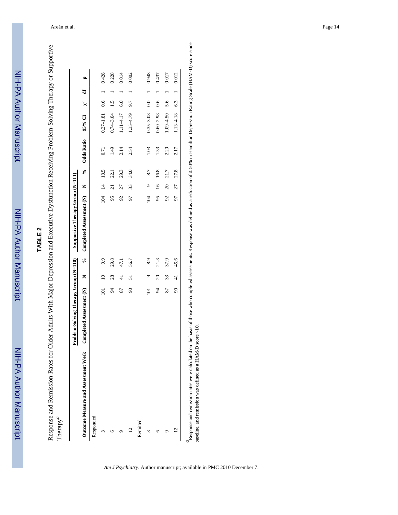NIH-PA Author Manuscript

NIH-PA Author Manuscript

**TABLE 2**

Response and Remission Rates for Older Adults With Major Depression and Executive Dysfunction Receiving Problem-Solving Therapy or Supportive Response and Remission Rates for Older Adults With Major Depression and Executive Dysfunction Receiving Problem-Solving Therapy or Supportive Therapy *a*

|                                     | Problem-Solving Therapy Group (N=110) |                |            | Supportive Therapy Group (N=111) |                 |      |                   |               |              |   |       |
|-------------------------------------|---------------------------------------|----------------|------------|----------------------------------|-----------------|------|-------------------|---------------|--------------|---|-------|
| Outcome Measure and Assessment Week | Completed Assessment (N)              | Z              | $\epsilon$ | Completed Assessment (N)         | Z               | ৺    | <b>Odds Ratio</b> | 95% CI        | <sup>2</sup> | đ | ≏     |
| Responded                           |                                       |                |            |                                  |                 |      |                   |               |              |   |       |
|                                     | $\overline{101}$                      | $\supseteq$    | 9.9        | 104                              | $\vec{z}$       | 13.5 | 0.71              | $0.27 - 1.81$ | 0.6          |   | 0.428 |
|                                     | $\overline{6}$                        | 28             | 29.8       | 95                               | $\overline{z}$  | 22.1 | 49                | $0.74 - 3.04$ | 1.5          |   | 0.228 |
|                                     | 87                                    | $\frac{1}{4}$  | 47.1       | 92                               | 27              | 29.3 | 2.14              | $1.11 - 4.17$ | 6.0          |   | 0.014 |
| $\overline{2}$                      | $\infty$                              | 51             | 56.7       | 56                               | 33              | 34.0 | 2.54              | $1.35 - 4.79$ | 9.7          |   | 0.002 |
| Remitted                            |                                       |                |            |                                  |                 |      |                   |               |              |   |       |
|                                     | $\Xi$                                 | ᡋ              | 8.9        | 104                              | ᡋ               | 8.7  | 1.03              | $0.35 - 3.08$ | 0.0          |   | 0.948 |
|                                     | 94                                    | $\overline{c}$ | 21.3       | 95                               | $\overline{16}$ | 16.8 | 1.33              | $0.60 - 2.98$ | 0.6          |   | 0.437 |
|                                     | 87                                    | 33             | 37.9       | 92                               | $\overline{20}$ | 21.7 | 2.20              | $1.09 - 4.50$ | 5.6          |   | 0.017 |
| $\overline{c}$                      | $\infty$                              | $\frac{1}{4}$  | 45.6       | 56                               | 27              | 27.8 | 2.17              | $1.13 - 4.18$ | 6.3          |   | 0.012 |

"Response and remission rates were calculated on the basis of those who completed assessments. Response was defined as a reduction of ≥ 50% in Hamilton Depression Rating Scale (HAM-D) score since<br>baseline, and remission wa *a*Response and remission rates were calculated on the basis of those who completed assessments. Response was defined as a reduction of ≥ 50% in Hamilton Depression Rating Scale (HAM-D) score since baseline, and remission was defined as a HAM-D score <10.